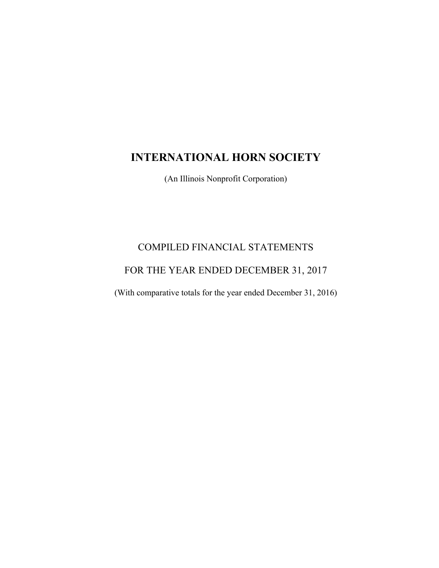# **INTERNATIONAL HORN SOCIETY**

(An Illinois Nonprofit Corporation)

# COMPILED FINANCIAL STATEMENTS

## FOR THE YEAR ENDED DECEMBER 31, 2017

(With comparative totals for the year ended December 31, 2016)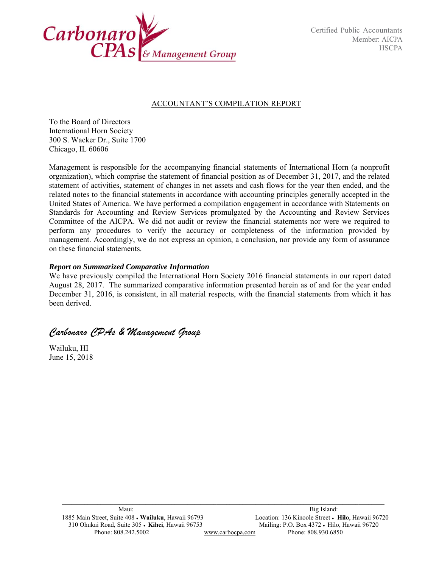

### ACCOUNTANT'S COMPILATION REPORT

To the Board of Directors International Horn Society 300 S. Wacker Dr., Suite 1700 Chicago, IL 60606

Management is responsible for the accompanying financial statements of International Horn (a nonprofit organization), which comprise the statement of financial position as of December 31, 2017, and the related statement of activities, statement of changes in net assets and cash flows for the year then ended, and the related notes to the financial statements in accordance with accounting principles generally accepted in the United States of America. We have performed a compilation engagement in accordance with Statements on Standards for Accounting and Review Services promulgated by the Accounting and Review Services Committee of the AICPA. We did not audit or review the financial statements nor were we required to perform any procedures to verify the accuracy or completeness of the information provided by management. Accordingly, we do not express an opinion, a conclusion, nor provide any form of assurance on these financial statements.

### *Report on Summarized Comparative Information*

We have previously compiled the International Horn Society 2016 financial statements in our report dated August 28, 2017. The summarized comparative information presented herein as of and for the year ended December 31, 2016, is consistent, in all material respects, with the financial statements from which it has been derived.

*Carbonaro CPAs & Management Group* 

Wailuku, HI June 15, 2018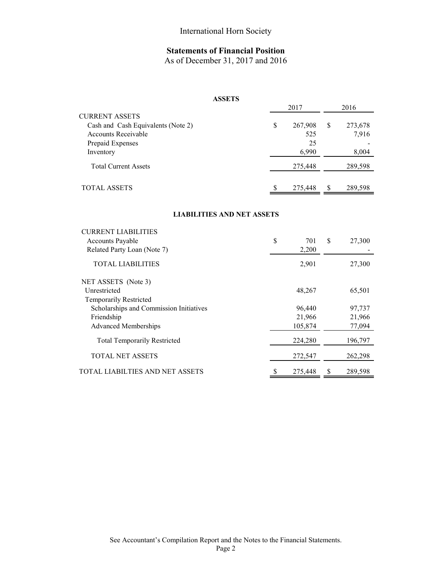## **Statements of Financial Position**

As of December 31, 2017 and 2016

### **ASSETS**

|                                    | 2017          |   | 2016    |  |  |
|------------------------------------|---------------|---|---------|--|--|
| <b>CURRENT ASSETS</b>              |               |   |         |  |  |
| Cash and Cash Equivalents (Note 2) | \$<br>267,908 | S | 273,678 |  |  |
| Accounts Receivable                | 525           |   | 7,916   |  |  |
| Prepaid Expenses                   | 25            |   |         |  |  |
| Inventory                          | 6,990         |   | 8,004   |  |  |
| <b>Total Current Assets</b>        | 275,448       |   | 289,598 |  |  |
| <b>TOTAL ASSETS</b>                | 275,448       |   | 289,598 |  |  |

#### **LIABILITIES AND NET ASSETS**

| <b>CURRENT LIABILITIES</b>              |   |         |    |         |
|-----------------------------------------|---|---------|----|---------|
| <b>Accounts Payable</b>                 | S | 701     | \$ | 27,300  |
| Related Party Loan (Note 7)             |   | 2,200   |    |         |
| <b>TOTAL LIABILITIES</b>                |   | 2,901   |    | 27,300  |
| NET ASSETS (Note 3)                     |   |         |    |         |
| Unrestricted                            |   | 48,267  |    | 65,501  |
| <b>Temporarily Restricted</b>           |   |         |    |         |
| Scholarships and Commission Initiatives |   | 96,440  |    | 97,737  |
| Friendship                              |   | 21,966  |    | 21,966  |
| <b>Advanced Memberships</b>             |   | 105,874 |    | 77,094  |
| <b>Total Temporarily Restricted</b>     |   | 224,280 |    | 196,797 |
| <b>TOTAL NET ASSETS</b>                 |   | 272,547 |    | 262,298 |
| TOTAL LIABILTIES AND NET ASSETS         |   | 275,448 | S  | 289,598 |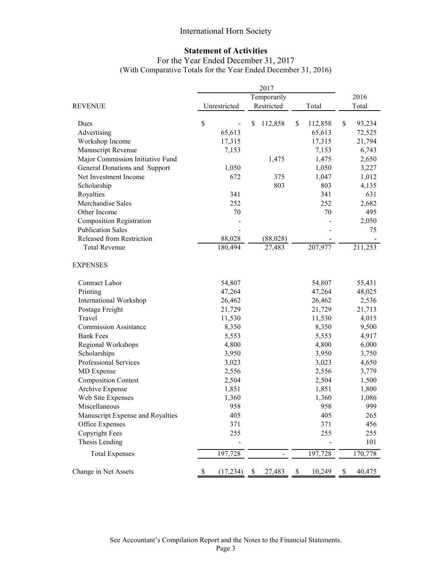## International Horn Society

### **Statement of Activities**

## For the Year Ended December 31, 2017 (With Comparative Totals for the Year Ended December 31, 2016)

|                                  |             |              |            | 2017      |       |         |       |         |  |
|----------------------------------|-------------|--------------|------------|-----------|-------|---------|-------|---------|--|
|                                  | Temporarily |              |            |           |       |         | 2016  |         |  |
| REVENUE                          |             | Unrestricted | Restricted |           | Total |         | Total |         |  |
| Dues                             | \$          |              | \$         | 112,858   | \$    | 112,858 | \$    | 93,234  |  |
| Advertising                      |             | 65,613       |            |           |       | 65,613  |       | 72,525  |  |
| Workshop Income                  |             | 17,315       |            |           |       | 17,315  |       | 21,794  |  |
| Manuscript Revenue               |             | 7,153        |            |           |       | 7,153   |       | 6,743   |  |
| Major Commission Initiative Fund |             |              |            | 1,475     |       | 1,475   |       | 2,650   |  |
| General Donations and Support    |             | 1,050        |            |           |       | 1,050   |       | 3,227   |  |
| Net Investment Income            |             | 672          |            | 375       |       | 1,047   |       | 1,012   |  |
| Scholarship                      |             |              |            | 803       |       | 803     |       | 4,135   |  |
| Royalties                        |             | 341          |            |           |       | 341     |       | 631     |  |
| Merchandise Sales                |             | 252          |            |           |       | 252     |       | 2,682   |  |
| Other Income                     |             | 70           |            |           |       | 70      |       | 495     |  |
| <b>Composition Registration</b>  |             |              |            |           |       |         |       | 2,050   |  |
| <b>Publication Sales</b>         |             |              |            |           |       |         |       | 75      |  |
| Released from Restriction        |             | 88,028       |            | (88, 028) |       |         |       |         |  |
| <b>Total Revenue</b>             |             | 180,494      |            | 27,483    |       | 207,977 |       | 211,253 |  |
| <b>EXPENSES</b>                  |             |              |            |           |       |         |       |         |  |
| Contract Labor                   |             | 54,807       |            |           |       | 54,807  |       | 55,431  |  |
| Printing                         |             | 47,264       |            |           |       | 47,264  |       | 48,025  |  |
| <b>International Workshop</b>    |             | 26,462       |            |           |       | 26,462  |       | 2,536   |  |
| Postage Freight                  |             | 21,729       |            |           |       | 21,729  |       | 21,713  |  |
| Travel                           |             | 11,530       |            |           |       | 11,530  |       | 4,015   |  |
| <b>Commission Assistance</b>     |             | 8,350        |            |           |       | 8,350   |       | 9,500   |  |
| <b>Bank Fees</b>                 |             | 5,553        |            |           |       | 5,553   |       | 4,917   |  |
| Regional Workshops               |             | 4,800        |            |           |       | 4,800   |       | 6,000   |  |
| Scholarships                     |             | 3,950        |            |           |       | 3,950   |       | 3,750   |  |
| Professional Services            |             | 3,023        |            |           |       | 3,023   |       | 4,650   |  |
| MD Expense                       |             | 2,556        |            |           |       | 2,556   |       | 3,779   |  |
| <b>Composition Contest</b>       |             | 2,504        |            |           |       | 2,504   |       | 1,500   |  |
| Archive Expense                  |             | 1,851        |            |           |       | 1,851   |       | 1,800   |  |
| Web Site Expenses                |             | 1,360        |            |           |       | 1,360   |       | 1,086   |  |
| Miscellaneous                    |             | 958          |            |           |       | 958     |       | 999     |  |
| Manuscript Expense and Royalties |             | 405          |            |           |       | 405     |       | 265     |  |
| Office Expenses                  |             | 371          |            |           |       | 371     |       | 456     |  |
| Copyright Fees                   |             | 255          |            |           |       | 255     |       | 255     |  |
| Thesis Lending                   |             |              |            |           |       |         |       | 101     |  |
| <b>Total Expenses</b>            |             | 197,728      |            |           |       | 197,728 |       | 170,778 |  |
| Change in Net Assets             | \$          | (17,234)     | \$         | 27,483    | \$    | 10,249  | \$    | 40,475  |  |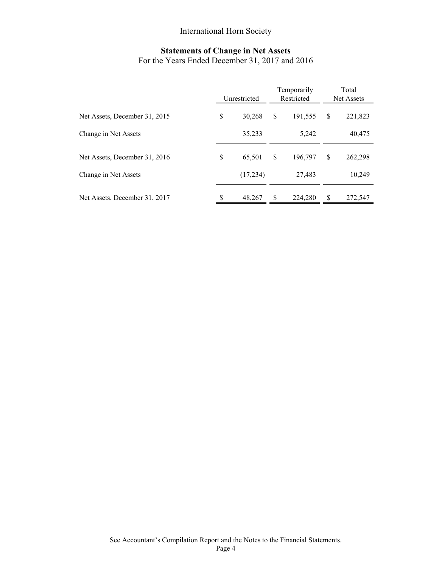## International Horn Society

# **Statements of Change in Net Assets**

For the Years Ended December 31, 2017 and 2016

|                               | Unrestricted |          |    | Temporarily<br>Restricted | Total<br>Net Assets |         |  |
|-------------------------------|--------------|----------|----|---------------------------|---------------------|---------|--|
| Net Assets, December 31, 2015 | \$           | 30.268   | \$ | 191,555                   | \$                  | 221,823 |  |
| Change in Net Assets          |              | 35,233   |    | 5,242                     |                     | 40,475  |  |
| Net Assets, December 31, 2016 | \$           | 65,501   | \$ | 196,797                   | \$                  | 262,298 |  |
| Change in Net Assets          |              | (17,234) |    | 27,483                    |                     | 10,249  |  |
| Net Assets, December 31, 2017 | \$           | 48,267   | S  | 224,280                   | \$                  | 272,547 |  |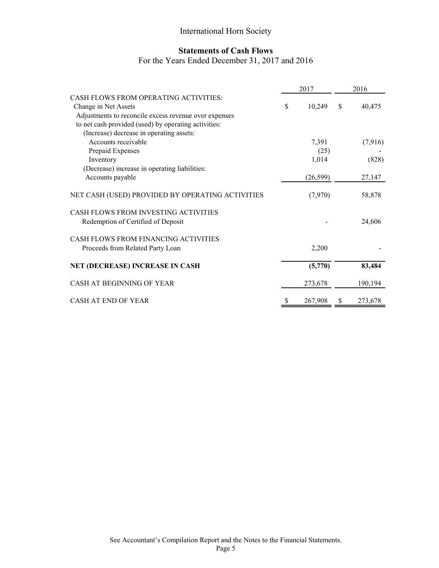## International Horn Society

## **Statements of Cash Flows**

## For the Years Ended December 31, 2017 and 2016

|                                                       | 2017 |           | 2016          |         |  |
|-------------------------------------------------------|------|-----------|---------------|---------|--|
| CASH FLOWS FROM OPERATING ACTIVITIES:                 |      |           |               |         |  |
| Change in Net Assets                                  | \$   | 10,249    | <sup>\$</sup> | 40,475  |  |
| Adjustments to reconcile excess revenue over expenses |      |           |               |         |  |
| to net cash provided (used) by operating activities:  |      |           |               |         |  |
| (Increase) decrease in operating assets:              |      |           |               |         |  |
| Accounts receivable                                   |      | 7,391     |               | (7,916) |  |
| Prepaid Expenses                                      |      | (25)      |               |         |  |
| Inventory                                             |      | 1,014     |               | (828)   |  |
| (Decrease) increase in operating liabilities:         |      |           |               |         |  |
| Accounts payable                                      |      | (26, 599) |               | 27,147  |  |
| NET CASH (USED) PROVIDED BY OPERATING ACTIVITIES      |      | (7,970)   |               | 58,878  |  |
| CASH FLOWS FROM INVESTING ACTIVITIES                  |      |           |               |         |  |
| Redemption of Certified of Deposit                    |      |           |               | 24,606  |  |
| CASH FLOWS FROM FINANCING ACTIVITIES                  |      |           |               |         |  |
| Proceeds from Related Party Loan                      |      | 2,200     |               |         |  |
| NET (DECREASE) INCREASE IN CASH                       |      | (5,770)   |               | 83,484  |  |
|                                                       |      |           |               |         |  |
| CASH AT BEGINNING OF YEAR                             |      | 273,678   |               | 190,194 |  |
| CASH AT END OF YEAR                                   | S    | 267,908   | \$            | 273,678 |  |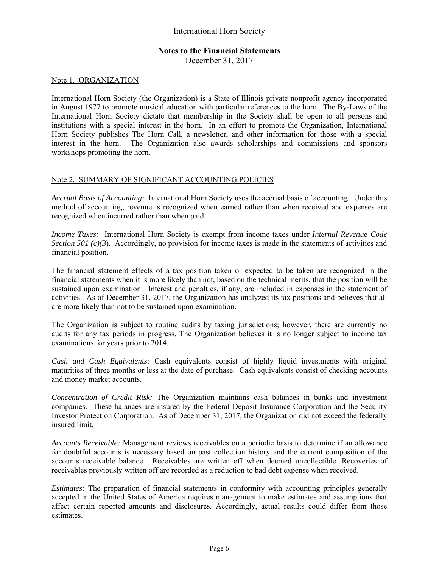### **Notes to the Financial Statements**

December 31, 2017

### Note 1. ORGANIZATION

International Horn Society (the Organization) is a State of Illinois private nonprofit agency incorporated in August 1977 to promote musical education with particular references to the horn. The By-Laws of the International Horn Society dictate that membership in the Society shall be open to all persons and institutions with a special interest in the horn. In an effort to promote the Organization, International Horn Society publishes The Horn Call, a newsletter, and other information for those with a special interest in the horn. The Organization also awards scholarships and commissions and sponsors workshops promoting the horn.

### Note 2. SUMMARY OF SIGNIFICANT ACCOUNTING POLICIES

*Accrual Basis of Accounting:* International Horn Society uses the accrual basis of accounting. Under this method of accounting, revenue is recognized when earned rather than when received and expenses are recognized when incurred rather than when paid.

*Income Taxes:* International Horn Society is exempt from income taxes under *Internal Revenue Code Section 501 (c)(3).* Accordingly, no provision for income taxes is made in the statements of activities and financial position.

The financial statement effects of a tax position taken or expected to be taken are recognized in the financial statements when it is more likely than not, based on the technical merits, that the position will be sustained upon examination. Interest and penalties, if any, are included in expenses in the statement of activities. As of December 31, 2017, the Organization has analyzed its tax positions and believes that all are more likely than not to be sustained upon examination.

The Organization is subject to routine audits by taxing jurisdictions; however, there are currently no audits for any tax periods in progress. The Organization believes it is no longer subject to income tax examinations for years prior to 2014.

*Cash and Cash Equivalents:* Cash equivalents consist of highly liquid investments with original maturities of three months or less at the date of purchase. Cash equivalents consist of checking accounts and money market accounts.

*Concentration of Credit Risk:* The Organization maintains cash balances in banks and investment companies. These balances are insured by the Federal Deposit Insurance Corporation and the Security Investor Protection Corporation. As of December 31, 2017, the Organization did not exceed the federally insured limit.

*Accounts Receivable:* Management reviews receivables on a periodic basis to determine if an allowance for doubtful accounts is necessary based on past collection history and the current composition of the accounts receivable balance. Receivables are written off when deemed uncollectible. Recoveries of receivables previously written off are recorded as a reduction to bad debt expense when received.

*Estimates:* The preparation of financial statements in conformity with accounting principles generally accepted in the United States of America requires management to make estimates and assumptions that affect certain reported amounts and disclosures. Accordingly, actual results could differ from those estimates.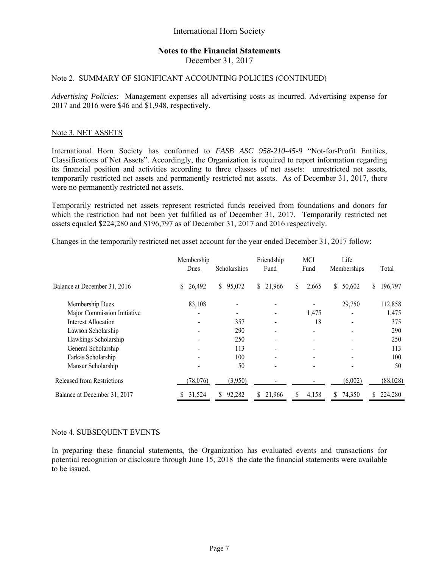## **Notes to the Financial Statements**

December 31, 2017

#### Note 2. SUMMARY OF SIGNIFICANT ACCOUNTING POLICIES (CONTINUED)

*Advertising Policies:* Management expenses all advertising costs as incurred. Advertising expense for 2017 and 2016 were \$46 and \$1,948, respectively.

#### Note 3. NET ASSETS

International Horn Society has conformed to *FASB ASC 958-210-45-9* "Not-for-Profit Entities, Classifications of Net Assets". Accordingly, the Organization is required to report information regarding its financial position and activities according to three classes of net assets: unrestricted net assets, temporarily restricted net assets and permanently restricted net assets. As of December 31, 2017, there were no permanently restricted net assets.

Temporarily restricted net assets represent restricted funds received from foundations and donors for which the restriction had not been yet fulfilled as of December 31, 2017. Temporarily restricted net assets equaled \$224,280 and \$196,797 as of December 31, 2017 and 2016 respectively.

Changes in the temporarily restricted net asset account for the year ended December 31, 2017 follow:

|                              | Membership<br>Dues | Scholarships             | Friendship<br>Fund | <b>MCI</b><br>Fund | Life<br>Memberships | Total         |
|------------------------------|--------------------|--------------------------|--------------------|--------------------|---------------------|---------------|
| Balance at December 31, 2016 | 26,492<br>S.       | $\mathbb{S}^-$<br>95,072 | \$21,966           | \$<br>2,665        | 50,602<br>\$        | 196,797<br>\$ |
| Membership Dues              | 83,108             |                          |                    |                    | 29,750              | 112,858       |
| Major Commission Initiative  |                    |                          |                    | 1,475              |                     | 1,475         |
| Interest Allocation          |                    | 357                      |                    | 18                 |                     | 375           |
| Lawson Scholarship           | $\blacksquare$     | 290                      |                    |                    | $\blacksquare$      | 290           |
| Hawkings Scholarship         |                    | 250                      |                    |                    |                     | 250           |
| General Scholarship          |                    | 113                      |                    |                    |                     | 113           |
| Farkas Scholarship           |                    | 100                      | $\blacksquare$     | -                  | ۰                   | 100           |
| Mansur Scholarship           |                    | 50                       |                    |                    |                     | 50            |
| Released from Restrictions   | (78, 076)          | (3,950)                  |                    |                    | (6,002)             | (88,028)      |
| Balance at December 31, 2017 | 31,524             | 92,282<br>S              | 21,966<br>S.       | 4,158              | 74,350<br>S.        | 224,280       |

#### Note 4. SUBSEQUENT EVENTS

In preparing these financial statements, the Organization has evaluated events and transactions for potential recognition or disclosure through June 15, 2018 the date the financial statements were available to be issued.